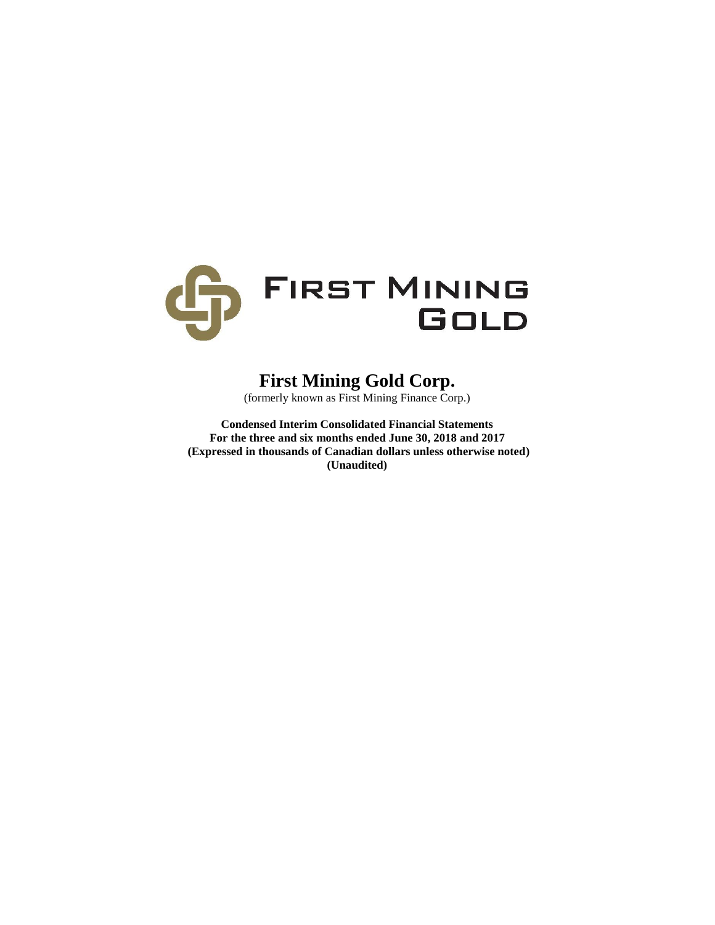

# **First Mining Gold Corp.**

(formerly known as First Mining Finance Corp.)

**Condensed Interim Consolidated Financial Statements For the three and six months ended June 30, 2018 and 2017 (Expressed in thousands of Canadian dollars unless otherwise noted) (Unaudited)**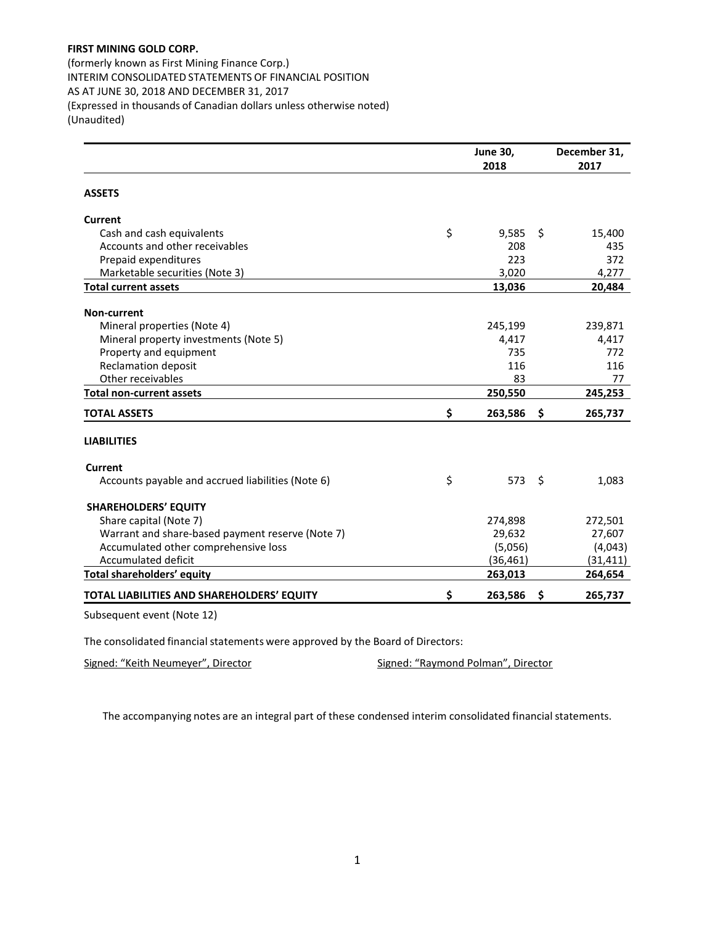(formerly known as First Mining Finance Corp.) INTERIM CONSOLIDATED STATEMENTS OF FINANCIAL POSITION AS AT JUNE 30, 2018 AND DECEMBER 31, 2017 (Expressed in thousands of Canadian dollars unless otherwise noted) (Unaudited)

|                                                   | <b>June 30,</b> |    | December 31, |
|---------------------------------------------------|-----------------|----|--------------|
|                                                   | 2018            |    | 2017         |
| <b>ASSETS</b>                                     |                 |    |              |
| <b>Current</b>                                    |                 |    |              |
| Cash and cash equivalents                         | \$<br>9,585     | \$ | 15,400       |
| Accounts and other receivables                    | 208             |    | 435          |
| Prepaid expenditures                              | 223             |    | 372          |
| Marketable securities (Note 3)                    | 3,020           |    | 4,277        |
| <b>Total current assets</b>                       | 13,036          |    | 20,484       |
| Non-current                                       |                 |    |              |
| Mineral properties (Note 4)                       | 245,199         |    | 239,871      |
| Mineral property investments (Note 5)             | 4,417           |    | 4,417        |
| Property and equipment                            | 735             |    | 772          |
| <b>Reclamation deposit</b>                        | 116             |    | 116          |
| Other receivables                                 | 83              |    | 77           |
| <b>Total non-current assets</b>                   | 250,550         |    | 245,253      |
| <b>TOTAL ASSETS</b>                               | \$<br>263,586   | -S | 265,737      |
| <b>LIABILITIES</b>                                |                 |    |              |
| Current                                           |                 |    |              |
| Accounts payable and accrued liabilities (Note 6) | \$<br>573       | \$ | 1,083        |
| <b>SHAREHOLDERS' EQUITY</b>                       |                 |    |              |
| Share capital (Note 7)                            | 274,898         |    | 272,501      |
| Warrant and share-based payment reserve (Note 7)  | 29,632          |    | 27,607       |
| Accumulated other comprehensive loss              | (5,056)         |    | (4,043)      |
| Accumulated deficit                               | (36, 461)       |    | (31, 411)    |
| Total shareholders' equity                        | 263,013         |    | 264,654      |
| TOTAL LIABILITIES AND SHAREHOLDERS' EQUITY        | \$<br>263,586   | \$ | 265,737      |
| Subsequent event (Note 12)                        |                 |    |              |

The consolidated financial statements were approved by the Board of Directors:

Signed: "Keith Neumeyer", Director Signed: "Raymond Polman", Director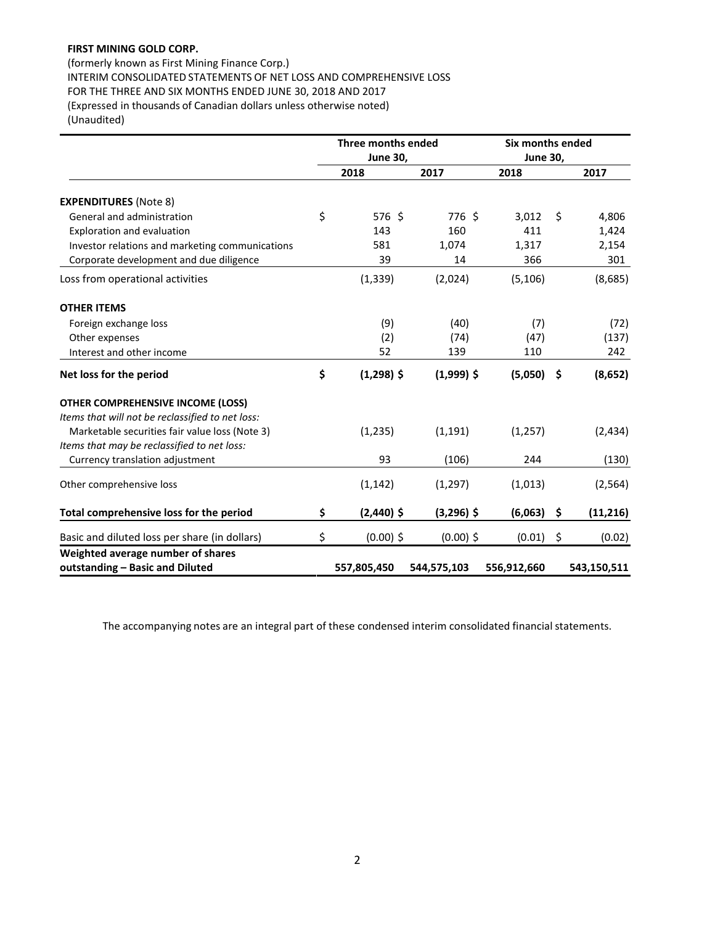(formerly known as First Mining Finance Corp.) INTERIM CONSOLIDATED STATEMENTS OF NET LOSS AND COMPREHENSIVE LOSS FOR THE THREE AND SIX MONTHS ENDED JUNE 30, 2018 AND 2017 (Expressed in thousands of Canadian dollars unless otherwise noted) (Unaudited)

|                                                  |                 | Three months ended |                 | Six months ended |     |             |  |
|--------------------------------------------------|-----------------|--------------------|-----------------|------------------|-----|-------------|--|
|                                                  | <b>June 30,</b> |                    | <b>June 30,</b> |                  |     |             |  |
|                                                  |                 | 2018               | 2017            | 2018             |     | 2017        |  |
| <b>EXPENDITURES (Note 8)</b>                     |                 |                    |                 |                  |     |             |  |
| General and administration                       | \$              | 576 \$             | 776 \$          | 3,012            | \$  | 4,806       |  |
| Exploration and evaluation                       |                 | 143                | 160             | 411              |     | 1,424       |  |
| Investor relations and marketing communications  |                 | 581                | 1,074           | 1,317            |     | 2,154       |  |
| Corporate development and due diligence          |                 | 39                 | 14              | 366              |     | 301         |  |
| Loss from operational activities                 |                 | (1, 339)           | (2,024)         | (5, 106)         |     | (8,685)     |  |
| <b>OTHER ITEMS</b>                               |                 |                    |                 |                  |     |             |  |
| Foreign exchange loss                            |                 | (9)                | (40)            | (7)              |     | (72)        |  |
| Other expenses                                   |                 | (2)                | (74)            | (47)             |     | (137)       |  |
| Interest and other income                        |                 | 52                 | 139             | 110              |     | 242         |  |
| Net loss for the period                          | \$              | $(1,298)$ \$       | $(1,999)$ \$    | (5,050)          | -\$ | (8, 652)    |  |
| <b>OTHER COMPREHENSIVE INCOME (LOSS)</b>         |                 |                    |                 |                  |     |             |  |
| Items that will not be reclassified to net loss: |                 |                    |                 |                  |     |             |  |
| Marketable securities fair value loss (Note 3)   |                 | (1,235)            | (1, 191)        | (1,257)          |     | (2, 434)    |  |
| Items that may be reclassified to net loss:      |                 |                    |                 |                  |     |             |  |
| Currency translation adjustment                  |                 | 93                 | (106)           | 244              |     | (130)       |  |
| Other comprehensive loss                         |                 | (1, 142)           | (1, 297)        | (1,013)          |     | (2, 564)    |  |
| Total comprehensive loss for the period          | \$              | $(2,440)$ \$       | $(3,296)$ \$    | (6,063)          | \$  | (11, 216)   |  |
| Basic and diluted loss per share (in dollars)    | \$              | $(0.00)$ \$        | $(0.00)$ \$     | (0.01)           | \$  | (0.02)      |  |
| Weighted average number of shares                |                 |                    |                 |                  |     |             |  |
| outstanding - Basic and Diluted                  |                 | 557,805,450        | 544,575,103     | 556,912,660      |     | 543,150,511 |  |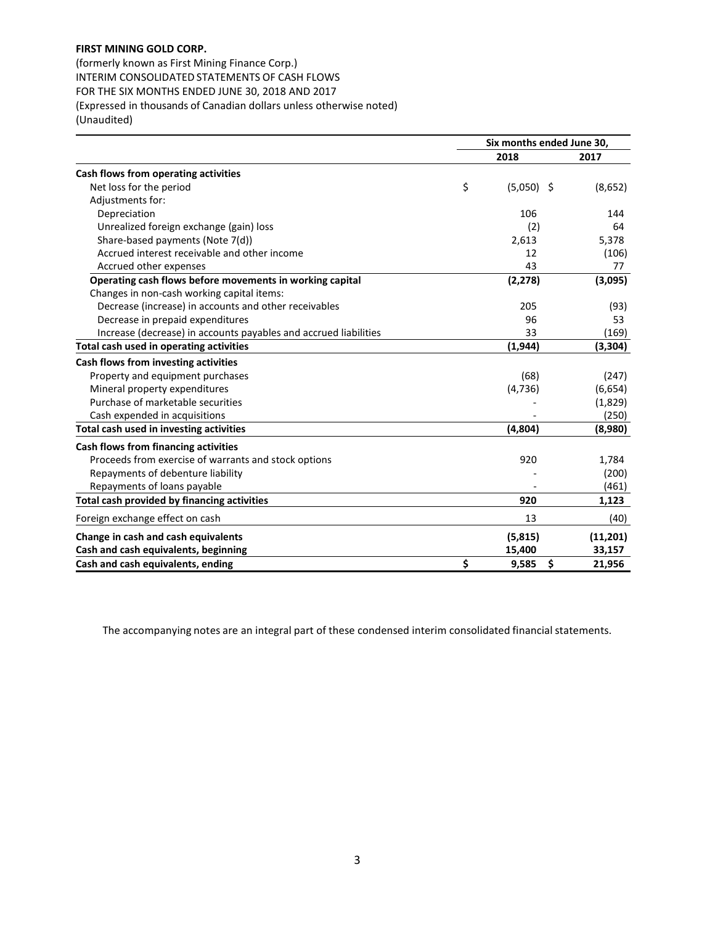(formerly known as First Mining Finance Corp.) INTERIM CONSOLIDATED STATEMENTS OF CASH FLOWS FOR THE SIX MONTHS ENDED JUNE 30, 2018 AND 2017 (Expressed in thousands of Canadian dollars unless otherwise noted) (Unaudited)

|                                                                  | Six months ended June 30. |              |          |
|------------------------------------------------------------------|---------------------------|--------------|----------|
|                                                                  |                           | 2018         | 2017     |
| Cash flows from operating activities                             |                           |              |          |
| Net loss for the period                                          | \$                        | $(5,050)$ \$ | (8,652)  |
| Adjustments for:                                                 |                           |              |          |
| Depreciation                                                     |                           | 106          | 144      |
| Unrealized foreign exchange (gain) loss                          |                           | (2)          | 64       |
| Share-based payments (Note 7(d))                                 |                           | 2,613        | 5,378    |
| Accrued interest receivable and other income                     |                           | 12           | (106)    |
| Accrued other expenses                                           |                           | 43           | 77       |
| Operating cash flows before movements in working capital         |                           | (2, 278)     | (3,095)  |
| Changes in non-cash working capital items:                       |                           |              |          |
| Decrease (increase) in accounts and other receivables            |                           | 205          | (93)     |
| Decrease in prepaid expenditures                                 |                           | 96           | 53       |
| Increase (decrease) in accounts payables and accrued liabilities |                           | 33           | (169)    |
| Total cash used in operating activities                          |                           | (1, 944)     | (3, 304) |
| Cash flows from investing activities                             |                           |              |          |
| Property and equipment purchases                                 |                           | (68)         | (247)    |
| Mineral property expenditures                                    |                           | (4, 736)     | (6,654)  |
| Purchase of marketable securities                                |                           |              | (1,829)  |
| Cash expended in acquisitions                                    |                           |              | (250)    |
| Total cash used in investing activities                          |                           | (4,804)      | (8,980)  |
| Cash flows from financing activities                             |                           |              |          |
| Proceeds from exercise of warrants and stock options             |                           | 920          | 1,784    |
| Repayments of debenture liability                                |                           |              | (200)    |
| Repayments of loans payable                                      |                           |              | (461)    |
| Total cash provided by financing activities                      |                           | 920          | 1,123    |
| Foreign exchange effect on cash                                  |                           | 13           | (40)     |
| Change in cash and cash equivalents                              |                           | (5,815)      | (11,201) |
| Cash and cash equivalents, beginning                             |                           | 15,400       | 33,157   |
| Cash and cash equivalents, ending                                | \$                        | 9,585<br>\$  | 21,956   |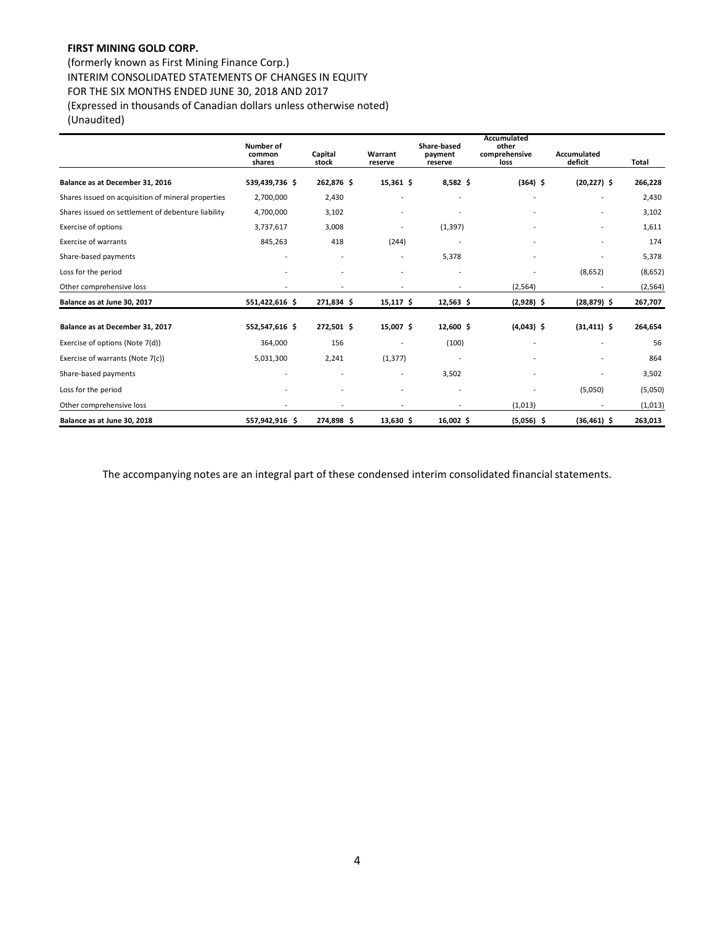(formerly known as First Mining Finance Corp.) INTERIM CONSOLIDATED STATEMENTS OF CHANGES IN EQUITY FOR THE SIX MONTHS ENDED JUNE 30, 2018 AND 2017 (Expressed in thousands of Canadian dollars unless otherwise noted) (Unaudited)

|                                                    | <b>Number of</b><br>common<br>shares | Capital<br>stock | Warrant<br>reserve       | Share-based<br>payment<br>reserve | Accumulated<br>other<br>comprehensive<br>loss | Accumulated<br>deficit   | Total    |
|----------------------------------------------------|--------------------------------------|------------------|--------------------------|-----------------------------------|-----------------------------------------------|--------------------------|----------|
| Balance as at December 31, 2016                    | 539,439,736 \$                       | 262,876 \$       | $15,361$ \$              | $8,582$ \$                        | $(364)$ \$                                    | $(20, 227)$ \$           | 266,228  |
| Shares issued on acquisition of mineral properties | 2,700,000                            | 2,430            |                          |                                   |                                               |                          | 2,430    |
| Shares issued on settlement of debenture liability | 4,700,000                            | 3,102            |                          |                                   |                                               |                          | 3,102    |
| <b>Exercise of options</b>                         | 3,737,617                            | 3,008            |                          | (1, 397)                          |                                               | $\overline{\phantom{0}}$ | 1,611    |
| <b>Exercise of warrants</b>                        | 845,263                              | 418              | (244)                    |                                   |                                               | -                        | 174      |
| Share-based payments                               | $\overline{\phantom{a}}$             | $\overline{a}$   | $\overline{\phantom{a}}$ | 5,378                             |                                               |                          | 5,378    |
| Loss for the period                                |                                      |                  |                          |                                   |                                               | (8,652)                  | (8,652)  |
| Other comprehensive loss                           |                                      |                  |                          |                                   | (2, 564)                                      |                          | (2, 564) |
| Balance as at June 30, 2017                        | 551,422,616 \$                       | 271,834 \$       | $15,117$ \$              | $12,563$ \$                       | $(2,928)$ \$                                  | $(28, 879)$ \$           | 267,707  |
| Balance as at December 31, 2017                    | 552,547,616 \$                       | 272,501 \$       | 15,007 \$                | 12,600 \$                         | $(4,043)$ \$                                  | $(31, 411)$ \$           | 264,654  |
| Exercise of options (Note 7(d))                    | 364,000                              | 156              |                          | (100)                             |                                               |                          | 56       |
| Exercise of warrants (Note 7(c))                   | 5,031,300                            | 2,241            | (1, 377)                 | $\overline{\phantom{0}}$          |                                               | $\overline{\phantom{a}}$ | 864      |
| Share-based payments                               | $\overline{\phantom{a}}$             |                  | $\overline{\phantom{a}}$ | 3,502                             |                                               |                          | 3,502    |
| Loss for the period                                |                                      |                  | $\overline{\phantom{a}}$ | $\overline{a}$                    |                                               | (5,050)                  | (5,050)  |
| Other comprehensive loss                           |                                      |                  | $\overline{\phantom{a}}$ | $\overline{a}$                    | (1,013)                                       |                          | (1,013)  |
| Balance as at June 30, 2018                        | 557,942,916 \$                       | 274,898 \$       | $13,630$ \$              | $16,002$ \$                       | $(5,056)$ \$                                  | $(36, 461)$ \$           | 263,013  |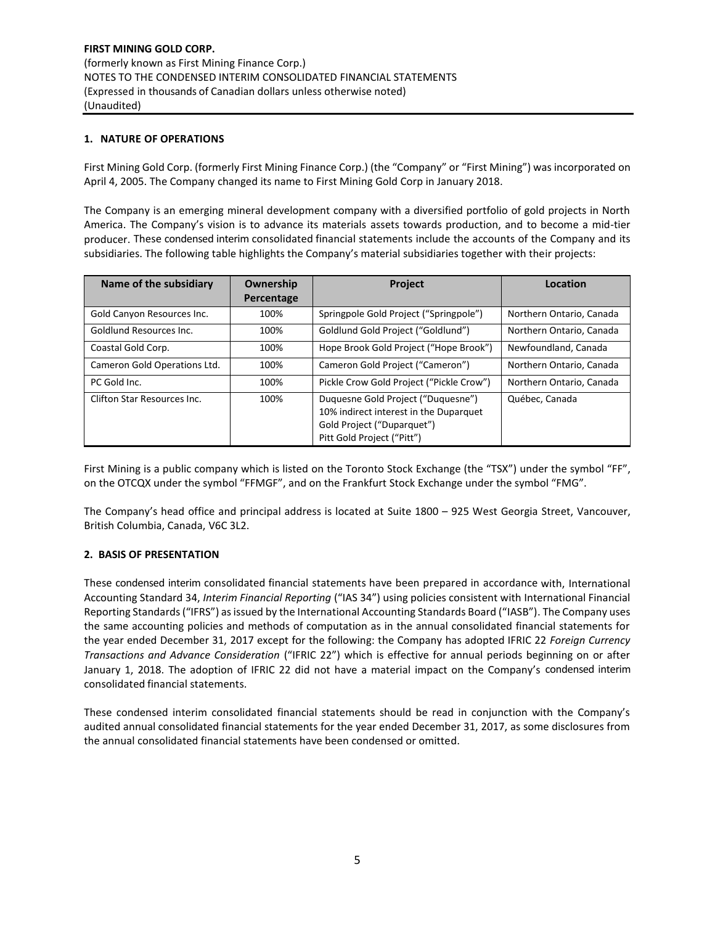## **1. NATURE OF OPERATIONS**

First Mining Gold Corp. (formerly First Mining Finance Corp.) (the "Company" or "First Mining") was incorporated on April 4, 2005. The Company changed its name to First Mining Gold Corp in January 2018.

The Company is an emerging mineral development company with a diversified portfolio of gold projects in North America. The Company's vision is to advance its materials assets towards production, and to become a mid-tier producer. These condensed interim consolidated financial statements include the accounts of the Company and its subsidiaries. The following table highlights the Company's material subsidiaries together with their projects:

| Name of the subsidiary       | Ownership  | Project                                                                                                                                  | Location                 |
|------------------------------|------------|------------------------------------------------------------------------------------------------------------------------------------------|--------------------------|
|                              | Percentage |                                                                                                                                          |                          |
| Gold Canyon Resources Inc.   | 100%       | Springpole Gold Project ("Springpole")                                                                                                   | Northern Ontario, Canada |
| Goldlund Resources Inc.      | 100%       | Goldlund Gold Project ("Goldlund")                                                                                                       | Northern Ontario, Canada |
| Coastal Gold Corp.           | 100%       | Hope Brook Gold Project ("Hope Brook")                                                                                                   | Newfoundland, Canada     |
| Cameron Gold Operations Ltd. | 100%       | Cameron Gold Project ("Cameron")                                                                                                         | Northern Ontario, Canada |
| PC Gold Inc.                 | 100%       | Pickle Crow Gold Project ("Pickle Crow")                                                                                                 | Northern Ontario, Canada |
| Clifton Star Resources Inc.  | 100%       | Duquesne Gold Project ("Duquesne")<br>10% indirect interest in the Duparquet<br>Gold Project ("Duparquet")<br>Pitt Gold Project ("Pitt") | Québec, Canada           |

First Mining is a public company which is listed on the Toronto Stock Exchange (the "TSX") under the symbol "FF", on the OTCQX under the symbol "FFMGF", and on the Frankfurt Stock Exchange under the symbol "FMG".

The Company's head office and principal address is located at Suite 1800 – 925 West Georgia Street, Vancouver, British Columbia, Canada, V6C 3L2.

## **2. BASIS OF PRESENTATION**

These condensed interim consolidated financial statements have been prepared in accordance with, International Accounting Standard 34, *Interim Financial Reporting* ("IAS 34") using policies consistent with International Financial Reporting Standards ("IFRS") as issued by the International Accounting Standards Board ("IASB"). The Company uses the same accounting policies and methods of computation as in the annual consolidated financial statements for the year ended December 31, 2017 except for the following: the Company has adopted IFRIC 22 *Foreign Currency Transactions and Advance Consideration* ("IFRIC 22") which is effective for annual periods beginning on or after January 1, 2018. The adoption of IFRIC 22 did not have a material impact on the Company's condensed interim consolidated financial statements.

These condensed interim consolidated financial statements should be read in conjunction with the Company's audited annual consolidated financial statements for the year ended December 31, 2017, as some disclosures from the annual consolidated financial statements have been condensed or omitted.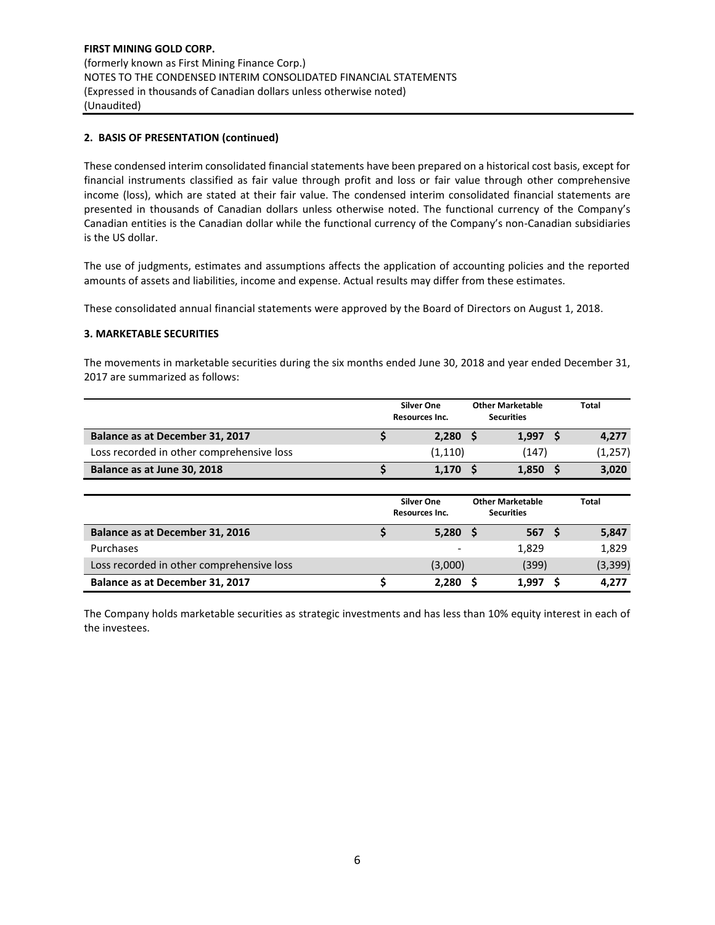## **2. BASIS OF PRESENTATION (continued)**

These condensed interim consolidated financial statements have been prepared on a historical cost basis, except for financial instruments classified as fair value through profit and loss or fair value through other comprehensive income (loss), which are stated at their fair value. The condensed interim consolidated financial statements are presented in thousands of Canadian dollars unless otherwise noted. The functional currency of the Company's Canadian entities is the Canadian dollar while the functional currency of the Company's non-Canadian subsidiaries is the US dollar.

The use of judgments, estimates and assumptions affects the application of accounting policies and the reported amounts of assets and liabilities, income and expense. Actual results may differ from these estimates.

These consolidated annual financial statements were approved by the Board of Directors on August 1, 2018.

#### **3. MARKETABLE SECURITIES**

The movements in marketable securities during the six months ended June 30, 2018 and year ended December 31, 2017 are summarized as follows:

|                                           | <b>Silver One</b><br><b>Resources Inc.</b> | <b>Other Marketable</b><br><b>Securities</b> |     | <b>Total</b> |
|-------------------------------------------|--------------------------------------------|----------------------------------------------|-----|--------------|
| Balance as at December 31, 2017           | \$<br>$2,280$ \$                           | 1,997                                        | -S  | 4,277        |
| Loss recorded in other comprehensive loss | (1, 110)                                   | (147)                                        |     | (1, 257)     |
| Balance as at June 30, 2018               | $1,170$ \$                                 | 1,850                                        | - S | 3,020        |
|                                           |                                            |                                              |     |              |
|                                           | <b>Silver One</b><br><b>Resources Inc.</b> | <b>Other Marketable</b><br><b>Securities</b> |     | <b>Total</b> |
| Balance as at December 31, 2016           | \$<br>$5,280$ \$                           | 567 <sub>5</sub>                             |     | 5,847        |
| Purchases                                 |                                            | 1,829                                        |     | 1,829        |
| Loss recorded in other comprehensive loss | (3,000)                                    | (399)                                        |     | (3, 399)     |

The Company holds marketable securities as strategic investments and has less than 10% equity interest in each of the investees.

**Balance as at December 31, 2017 \$ 2,280 \$ 1,997 \$ 4,277**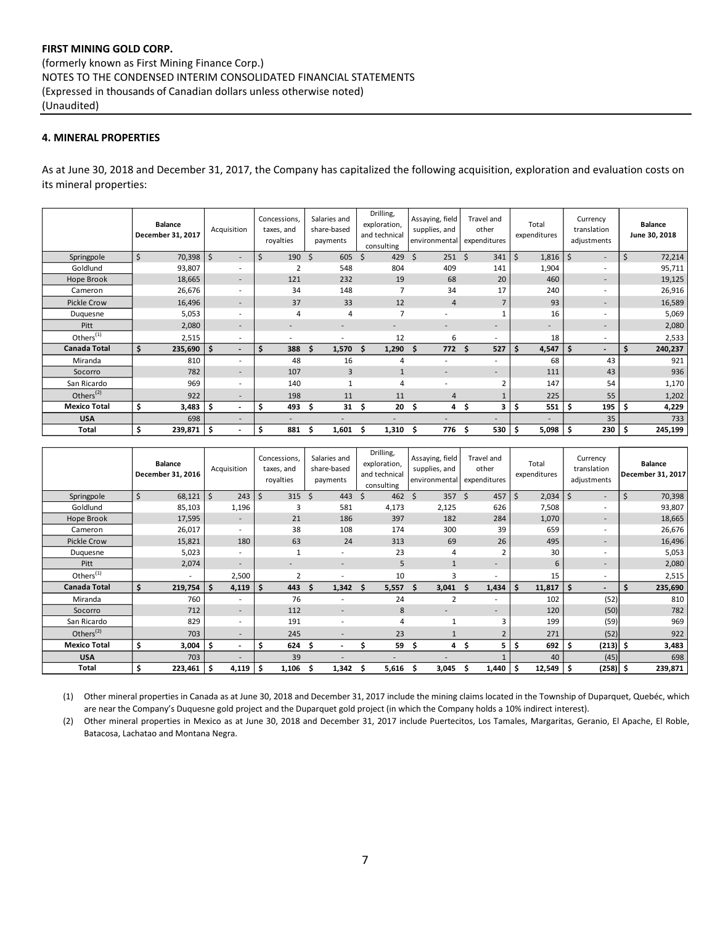## **4. MINERAL PROPERTIES**

As at June 30, 2018 and December 31, 2017, the Company has capitalized the following acquisition, exploration and evaluation costs on its mineral properties:

|                       | <b>Balance</b><br>December 31, 2017 | Acquisition                     | Concessions,<br>taxes, and<br>royalties | Salaries and<br>share-based<br>payments | Drilling,<br>exploration,<br>and technical<br>consulting | Assaying, field<br>supplies, and<br>environmental | Travel and<br>other<br>expenditures | Total<br>expenditures        | Currency<br>translation<br>adjustments | <b>Balance</b><br>June 30, 2018 |
|-----------------------|-------------------------------------|---------------------------------|-----------------------------------------|-----------------------------------------|----------------------------------------------------------|---------------------------------------------------|-------------------------------------|------------------------------|----------------------------------------|---------------------------------|
| Springpole            | \$<br>70,398                        | \$<br>$\overline{\phantom{a}}$  | 190<br>S                                | \$<br>605                               | 429<br>\$                                                | \$<br>251                                         | Ŝ.<br>341                           | $\ddot{\mathsf{S}}$<br>1,816 | \$<br>$\overline{\phantom{a}}$         | \$<br>72,214                    |
| Goldlund              | 93,807                              | ٠                               | $\overline{2}$                          | 548                                     | 804                                                      | 409                                               | 141                                 | 1,904                        | $\overline{\phantom{a}}$               | 95,711                          |
| Hope Brook            | 18,665                              | $\overline{\phantom{0}}$        | 121                                     | 232                                     | 19                                                       | 68                                                | 20                                  | 460                          | $\overline{\phantom{a}}$               | 19,125                          |
| Cameron               | 26,676                              | ۰.                              | 34                                      | 148                                     | $\overline{7}$                                           | 34                                                | 17                                  | 240                          | $\overline{\phantom{a}}$               | 26,916                          |
| <b>Pickle Crow</b>    | 16,496                              | $\overline{\phantom{a}}$        | 37                                      | 33                                      | 12                                                       | $\overline{4}$                                    | 7                                   | 93                           | $\sim$                                 | 16,589                          |
| Duquesne              | 5,053                               | ٠                               | $\overline{4}$                          | $\overline{4}$                          | $\overline{7}$                                           |                                                   |                                     | 16                           | $\overline{\phantom{a}}$               | 5,069                           |
| Pitt                  | 2,080                               |                                 |                                         |                                         |                                                          |                                                   | $\overline{\phantom{a}}$            |                              | $\overline{\phantom{a}}$               | 2,080                           |
| Others <sup>(1)</sup> | 2,515                               | $\overline{\phantom{a}}$        |                                         |                                         | 12                                                       | 6                                                 | ٠                                   | 18                           | $\blacksquare$                         | 2,533                           |
| <b>Canada Total</b>   | Ś.<br>235,690                       | \$.<br>$\overline{\phantom{0}}$ | 388                                     | \$.<br>1,570                            | 1,290<br>Ŝ.                                              | 772<br>\$.                                        | Ś.<br>527                           | \$<br>4,547                  | S<br>$\overline{\phantom{a}}$          | 240,237                         |
| Miranda               | 810                                 | ۰                               | 48                                      | 16                                      | 4                                                        |                                                   | $\overline{\phantom{a}}$            | 68                           | 43                                     | 921                             |
| Socorro               | 782                                 |                                 | 107                                     | 3                                       | $\mathbf{1}$                                             |                                                   | $\overline{\phantom{a}}$            | 111                          | 43                                     | 936                             |
| San Ricardo           | 969                                 | ۰.                              | 140                                     |                                         | $\overline{4}$                                           |                                                   |                                     | 147                          | 54                                     | 1,170                           |
| Others <sup>(2)</sup> | 922                                 |                                 | 198                                     | 11                                      | 11                                                       | 4                                                 |                                     | 225                          | 55                                     | 1,202                           |
| <b>Mexico Total</b>   | \$<br>3,483                         | S.<br>-                         | 493<br>s                                | \$<br>31                                | 20<br>\$.                                                | \$<br>4                                           | 3<br>\$.                            | \$<br>551                    | 195                                    | 4,229                           |
| <b>USA</b>            | 698                                 | $\overline{\phantom{a}}$        |                                         |                                         |                                                          |                                                   |                                     |                              | 35                                     | 733                             |
| <b>Total</b>          | \$<br>239,871   \$                  | $\overline{\phantom{0}}$        | 881<br>S                                | 1,601<br>s                              | 1,310<br>s                                               | 776                                               | 530<br>\$                           | -\$<br>5,098                 | 230                                    | 245,199<br>l Ş                  |

|                       | <b>Balance</b><br>December 31, 2016 | Acquisition              | Concessions,<br>taxes, and<br>royalties | Salaries and<br>share-based<br>payments | Drilling,<br>exploration,<br>and technical<br>consulting | Assaying, field<br>supplies, and<br>environmental | Travel and<br>other<br>expenditures | Total<br>expenditures | Currency<br>translation<br>adjustments | <b>Balance</b><br>December 31, 2017 |
|-----------------------|-------------------------------------|--------------------------|-----------------------------------------|-----------------------------------------|----------------------------------------------------------|---------------------------------------------------|-------------------------------------|-----------------------|----------------------------------------|-------------------------------------|
| Springpole            | \$<br>68,121                        | $\zeta$<br>243           | $\zeta$<br>315                          | Ś.<br>443                               | 462<br>Ś                                                 | Ś.<br>357                                         | Ŝ.<br>457                           | $\zeta$<br>2,034      | \$<br>$\overline{\phantom{a}}$         | $\zeta$<br>70,398                   |
| Goldlund              | 85,103                              | 1,196                    | 3                                       | 581                                     | 4,173                                                    | 2,125                                             | 626                                 | 7,508                 | $\overline{\phantom{a}}$               | 93,807                              |
| Hope Brook            | 17,595                              | $\overline{\phantom{a}}$ | 21                                      | 186                                     | 397                                                      | 182                                               | 284                                 | 1,070                 | $\overline{\phantom{a}}$               | 18,665                              |
| Cameron               | 26,017                              |                          | 38                                      | 108                                     | 174                                                      | 300                                               | 39                                  | 659                   | $\overline{\phantom{a}}$               | 26,676                              |
| <b>Pickle Crow</b>    | 15,821                              | 180                      | 63                                      | 24                                      | 313                                                      | 69                                                | 26                                  | 495                   | $\overline{\phantom{a}}$               | 16,496                              |
| Duquesne              | 5,023                               |                          |                                         | ٠                                       | 23                                                       | 4                                                 | $\overline{2}$                      | 30                    | $\overline{\phantom{a}}$               | 5,053                               |
| Pitt                  | 2,074                               | $\overline{\phantom{0}}$ | ۰                                       | $\overline{\phantom{a}}$                | 5                                                        | $\mathbf{1}$                                      | -                                   | 6                     | $\overline{\phantom{a}}$               | 2,080                               |
| Others <sup>(1)</sup> |                                     | 2,500                    | $\overline{2}$                          |                                         | 10                                                       | 3                                                 | ٠                                   | 15                    | $\overline{\phantom{a}}$               | 2,515                               |
| <b>Canada Total</b>   | Ś<br>219,754                        | Ś<br>4,119               | \$.<br>443                              | 1,342<br>\$.                            | 5,557<br>S                                               | 3,041<br>\$                                       | 1,434<br>Ŝ.                         | 11,817<br>s           | Ŝ.<br>$\overline{\phantom{a}}$         | Ś.<br>235,690                       |
| Miranda               | 760                                 |                          | 76                                      |                                         | 24                                                       | $\overline{2}$                                    | ٠                                   | 102                   | (52)                                   | 810                                 |
| Socorro               | 712                                 | $\overline{\phantom{a}}$ | 112                                     | ٠                                       | 8                                                        |                                                   | -                                   | 120                   | (50)                                   | 782                                 |
| San Ricardo           | 829                                 |                          | 191                                     |                                         | 4                                                        |                                                   | 3                                   | 199                   | (59)                                   | 969                                 |
| Others $(2)$          | 703                                 |                          | 245                                     |                                         | 23                                                       |                                                   | $\overline{2}$                      | 271                   | (52)                                   | 922                                 |
| <b>Mexico Total</b>   | Ś<br>3,004                          | -\$                      | 624<br>S                                | \$                                      | 59                                                       | \$.<br>4                                          | 5.<br>-S                            | 692<br>\$             | $(213)$ \$<br>S                        | 3,483                               |
| <b>USA</b>            | 703                                 |                          | 39                                      |                                         | ۰                                                        |                                                   |                                     | 40                    | (45)                                   | 698                                 |
| Total                 | 223,461                             | -\$<br>4,119             | \$<br>1,106                             | \$<br>1,342                             | 5,616<br>S                                               | 3,045<br>\$                                       | 1,440<br>Ś                          | 12,549<br>-\$         | $(258)$ \$<br>-S                       | 239,871                             |

(1) Other mineral properties in Canada as at June 30, 2018 and December 31, 2017 include the mining claims located in the Township of Duparquet, Quebéc, which are near the Company's Duquesne gold project and the Duparquet gold project (in which the Company holds a 10% indirect interest).

(2) Other mineral properties in Mexico as at June 30, 2018 and December 31, 2017 include Puertecitos, Los Tamales, Margaritas, Geranio, El Apache, El Roble, Batacosa, Lachatao and Montana Negra.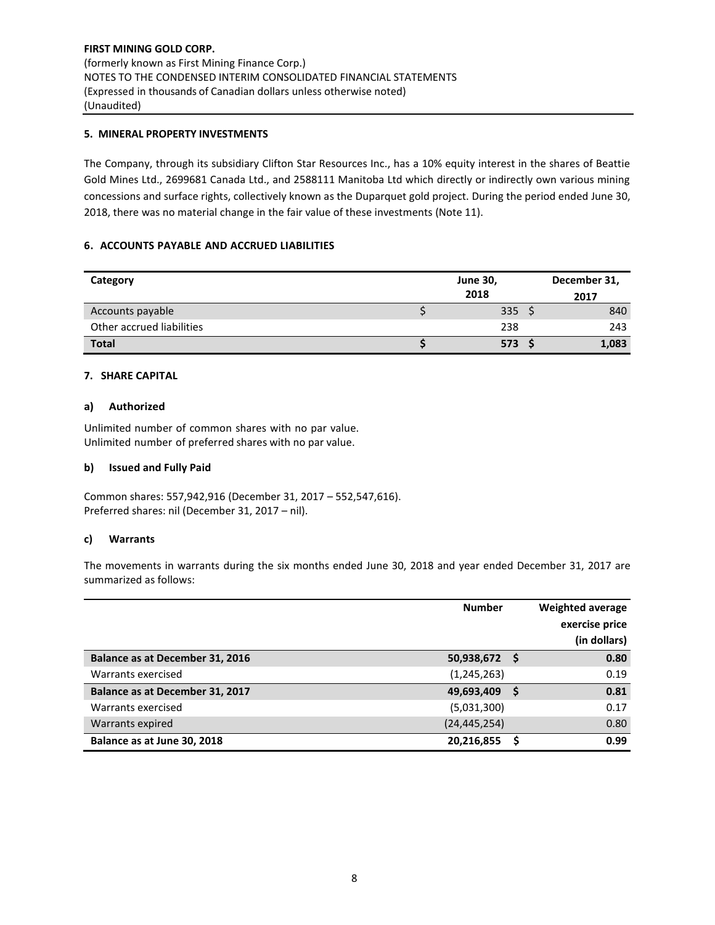# **5. MINERAL PROPERTY INVESTMENTS**

The Company, through its subsidiary Clifton Star Resources Inc., has a 10% equity interest in the shares of Beattie Gold Mines Ltd., 2699681 Canada Ltd., and 2588111 Manitoba Ltd which directly or indirectly own various mining concessions and surface rights, collectively known as the Duparquet gold project. During the period ended June 30, 2018, there was no material change in the fair value of these investments (Note 11).

## **6. ACCOUNTS PAYABLE AND ACCRUED LIABILITIES**

| Category                  | <b>June 30,</b>  | December 31, |  |  |
|---------------------------|------------------|--------------|--|--|
|                           | 2018             | 2017         |  |  |
| Accounts payable          | 335 <sup>5</sup> | 840          |  |  |
| Other accrued liabilities | 238              | 243          |  |  |
| <b>Total</b>              | $573^{6}$        | 1,083        |  |  |

#### **7. SHARE CAPITAL**

#### **a) Authorized**

Unlimited number of common shares with no par value. Unlimited number of preferred shares with no par value.

#### **b) Issued and Fully Paid**

Common shares: 557,942,916 (December 31, 2017 – 552,547,616). Preferred shares: nil (December 31, 2017 – nil).

#### **c) Warrants**

The movements in warrants during the six months ended June 30, 2018 and year ended December 31, 2017 are summarized as follows:

|                                 | <b>Number</b>  | Weighted average<br>exercise price<br>(in dollars) |
|---------------------------------|----------------|----------------------------------------------------|
| Balance as at December 31, 2016 | 50,938,672 \$  | 0.80                                               |
| Warrants exercised              | (1, 245, 263)  | 0.19                                               |
| Balance as at December 31, 2017 | 49,693,409     | 0.81                                               |
| Warrants exercised              | (5,031,300)    | 0.17                                               |
| Warrants expired                | (24, 445, 254) | 0.80                                               |
| Balance as at June 30, 2018     | 20,216,855     | 0.99                                               |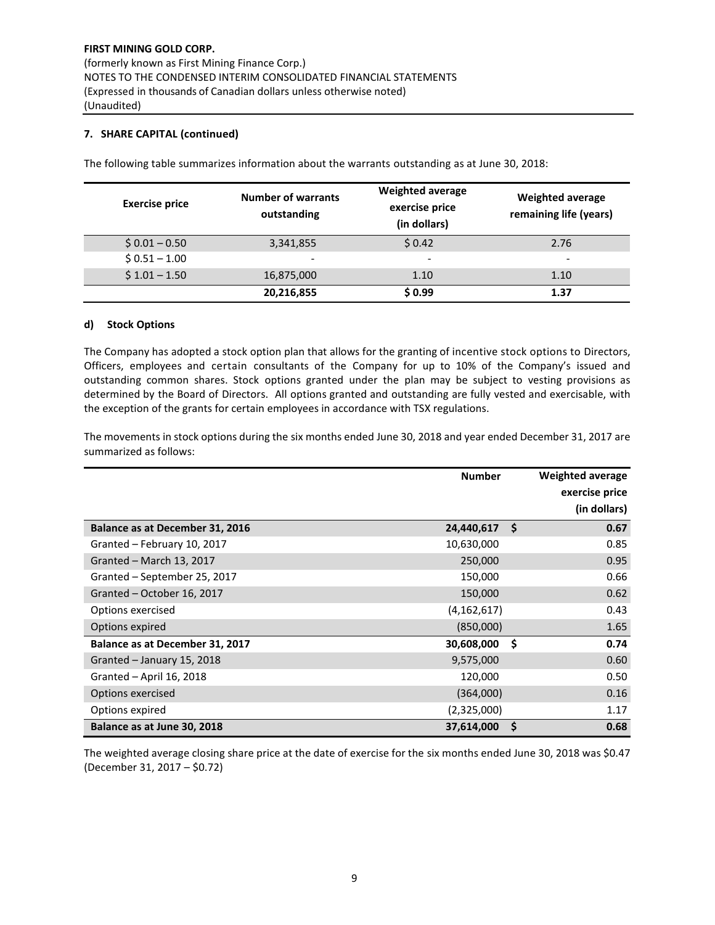## **7. SHARE CAPITAL (continued)**

| <b>Exercise price</b> | <b>Number of warrants</b><br>outstanding | <b>Weighted average</b><br>exercise price<br>(in dollars) | <b>Weighted average</b><br>remaining life (years) |
|-----------------------|------------------------------------------|-----------------------------------------------------------|---------------------------------------------------|
| $$0.01 - 0.50$        | 3,341,855                                | \$0.42                                                    | 2.76                                              |
| $$0.51 - 1.00$        | $\overline{\phantom{a}}$                 | -                                                         | -                                                 |
| $$1.01 - 1.50$        | 16,875,000                               | 1.10                                                      | 1.10                                              |
|                       | 20,216,855                               | \$0.99                                                    | 1.37                                              |

The following table summarizes information about the warrants outstanding as at June 30, 2018:

#### **d) Stock Options**

The Company has adopted a stock option plan that allows for the granting of incentive stock options to Directors, Officers, employees and certain consultants of the Company for up to 10% of the Company's issued and outstanding common shares. Stock options granted under the plan may be subject to vesting provisions as determined by the Board of Directors. All options granted and outstanding are fully vested and exercisable, with the exception of the grants for certain employees in accordance with TSX regulations.

The movements in stock options during the six months ended June 30, 2018 and year ended December 31, 2017 are summarized as follows:

|                                        | <b>Number</b> |     | <b>Weighted average</b><br>exercise price<br>(in dollars) |
|----------------------------------------|---------------|-----|-----------------------------------------------------------|
| <b>Balance as at December 31, 2016</b> | 24,440,617    | -\$ | 0.67                                                      |
| Granted - February 10, 2017            | 10,630,000    |     | 0.85                                                      |
| Granted - March 13, 2017               | 250,000       |     | 0.95                                                      |
| Granted - September 25, 2017           | 150,000       |     | 0.66                                                      |
| Granted - October 16, 2017             | 150,000       |     | 0.62                                                      |
| Options exercised                      | (4, 162, 617) |     | 0.43                                                      |
| Options expired                        | (850,000)     |     | 1.65                                                      |
| Balance as at December 31, 2017        | 30,608,000    | -\$ | 0.74                                                      |
| Granted - January 15, 2018             | 9,575,000     |     | 0.60                                                      |
| Granted - April 16, 2018               | 120,000       |     | 0.50                                                      |
| Options exercised                      | (364,000)     |     | 0.16                                                      |
| Options expired                        | (2,325,000)   |     | 1.17                                                      |
| Balance as at June 30, 2018            | 37,614,000    | Ŝ.  | 0.68                                                      |

The weighted average closing share price at the date of exercise for the six months ended June 30, 2018 was \$0.47 (December 31, 2017 – \$0.72)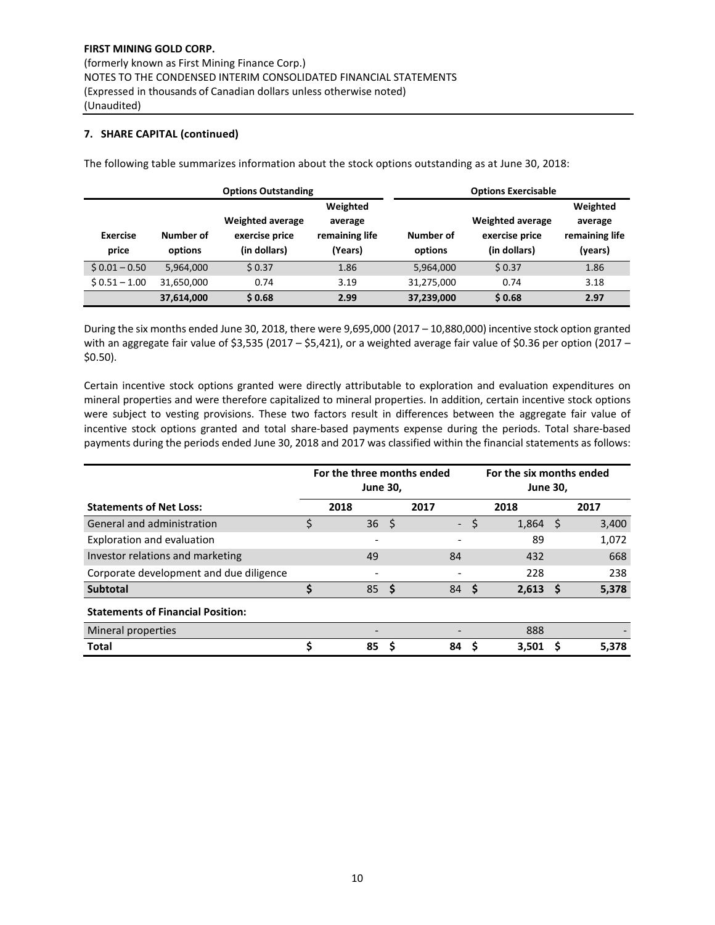## **7. SHARE CAPITAL (continued)**

|                          |                      | <b>Options Outstanding</b>                                | <b>Options Exercisable</b>                       |                      |                                                           |                                                  |  |  |
|--------------------------|----------------------|-----------------------------------------------------------|--------------------------------------------------|----------------------|-----------------------------------------------------------|--------------------------------------------------|--|--|
| <b>Exercise</b><br>price | Number of<br>options | <b>Weighted average</b><br>exercise price<br>(in dollars) | Weighted<br>average<br>remaining life<br>(Years) | Number of<br>options | <b>Weighted average</b><br>exercise price<br>(in dollars) | Weighted<br>average<br>remaining life<br>(years) |  |  |
| $$0.01 - 0.50$           | 5.964.000            | \$0.37                                                    | 1.86                                             | 5,964,000            | \$0.37                                                    | 1.86                                             |  |  |
| $$0.51 - 1.00$           | 31,650,000           | 0.74                                                      | 3.19                                             | 31,275,000           | 0.74                                                      | 3.18                                             |  |  |
|                          | 37,614,000           | \$0.68                                                    | 2.99                                             | 37,239,000           | \$0.68                                                    | 2.97                                             |  |  |

The following table summarizes information about the stock options outstanding as at June 30, 2018:

During the six months ended June 30, 2018, there were 9,695,000 (2017 – 10,880,000) incentive stock option granted with an aggregate fair value of \$3,535 (2017 – \$5,421), or a weighted average fair value of \$0.36 per option (2017 – \$0.50).

Certain incentive stock options granted were directly attributable to exploration and evaluation expenditures on mineral properties and were therefore capitalized to mineral properties. In addition, certain incentive stock options were subject to vesting provisions. These two factors result in differences between the aggregate fair value of incentive stock options granted and total share-based payments expense during the periods. Total share-based payments during the periods ended June 30, 2018 and 2017 was classified within the financial statements as follows:

|                                          | For the three months ended<br><b>June 30,</b> |      |      |                          |          | For the six months ended<br><b>June 30,</b> |              |       |  |  |
|------------------------------------------|-----------------------------------------------|------|------|--------------------------|----------|---------------------------------------------|--------------|-------|--|--|
| <b>Statements of Net Loss:</b>           |                                               | 2018 |      | 2017                     |          | 2018                                        |              | 2017  |  |  |
| General and administration               | \$                                            | 36   | - \$ | $\overline{\phantom{a}}$ | \$       | 1,864                                       | <sub>S</sub> | 3,400 |  |  |
| Exploration and evaluation               |                                               | -    |      |                          |          | 89                                          |              | 1,072 |  |  |
| Investor relations and marketing         |                                               | 49   |      | 84                       |          | 432                                         |              | 668   |  |  |
| Corporate development and due diligence  |                                               |      |      |                          |          | 228                                         |              | 238   |  |  |
| <b>Subtotal</b>                          | \$                                            | 85   | - \$ | 84                       | <b>S</b> | $2,613$ \$                                  |              | 5,378 |  |  |
| <b>Statements of Financial Position:</b> |                                               |      |      |                          |          |                                             |              |       |  |  |
| Mineral properties                       |                                               |      |      |                          |          | 888                                         |              |       |  |  |
| <b>Total</b>                             | Ś                                             | 85   | S    | 84                       |          | 3.501                                       |              | 5.378 |  |  |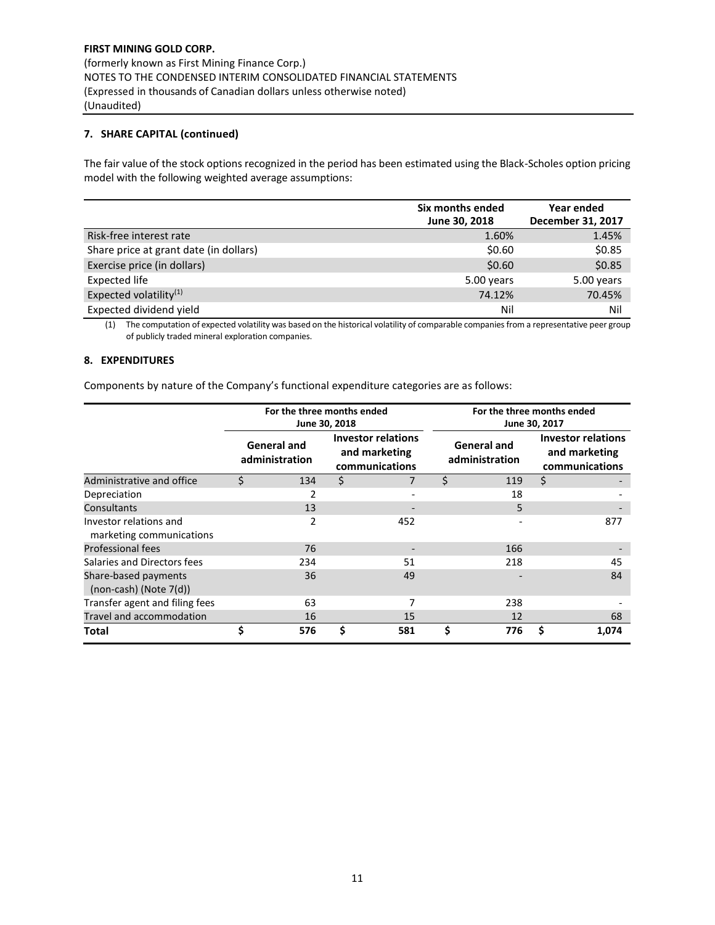## **7. SHARE CAPITAL (continued)**

The fair value of the stock options recognized in the period has been estimated using the Black-Scholes option pricing model with the following weighted average assumptions:

|                                        | Six months ended<br>June 30, 2018 | Year ended<br>December 31, 2017 |
|----------------------------------------|-----------------------------------|---------------------------------|
| Risk-free interest rate                | 1.60%                             | 1.45%                           |
| Share price at grant date (in dollars) | \$0.60                            | \$0.85                          |
| Exercise price (in dollars)            | \$0.60                            | \$0.85                          |
| <b>Expected life</b>                   | 5.00 years                        | 5.00 years                      |
| Expected volatility <sup>(1)</sup>     | 74.12%                            | 70.45%                          |
| Expected dividend yield                | Nil                               | Nil                             |

(1) The computation of expected volatility was based on the historical volatility of comparable companies from a representative peer group of publicly traded mineral exploration companies.

#### **8. EXPENDITURES**

Components by nature of the Company's functional expenditure categories are as follows:

|                                                     | For the three months ended<br>June 30, 2018 |                                      |    |                                                              |    | For the three months ended<br>June 30, 2017 |                                                              |       |  |  |  |
|-----------------------------------------------------|---------------------------------------------|--------------------------------------|----|--------------------------------------------------------------|----|---------------------------------------------|--------------------------------------------------------------|-------|--|--|--|
|                                                     |                                             | <b>General and</b><br>administration |    | <b>Investor relations</b><br>and marketing<br>communications |    | <b>General and</b><br>administration        | <b>Investor relations</b><br>and marketing<br>communications |       |  |  |  |
| Administrative and office                           | Ś                                           | 134                                  | \$ |                                                              | \$ | 119                                         | \$                                                           |       |  |  |  |
| Depreciation                                        |                                             |                                      |    |                                                              |    | 18                                          |                                                              |       |  |  |  |
| Consultants                                         |                                             | 13                                   |    |                                                              |    | 5                                           |                                                              |       |  |  |  |
| Investor relations and<br>marketing communications  |                                             | 2                                    |    | 452                                                          |    |                                             |                                                              | 877   |  |  |  |
| <b>Professional fees</b>                            |                                             | 76                                   |    |                                                              |    | 166                                         |                                                              |       |  |  |  |
| Salaries and Directors fees                         |                                             | 234                                  |    | 51                                                           |    | 218                                         |                                                              | 45    |  |  |  |
| Share-based payments<br>$(non-cash)$ (Note $7(d)$ ) |                                             | 36                                   |    | 49                                                           |    |                                             |                                                              | 84    |  |  |  |
| Transfer agent and filing fees                      |                                             | 63                                   |    | 7                                                            |    | 238                                         |                                                              |       |  |  |  |
| Travel and accommodation                            |                                             | 16                                   |    | 15                                                           |    | 12                                          |                                                              | 68    |  |  |  |
| Total                                               | \$                                          | 576                                  | Ś  | 581                                                          | \$ | 776                                         | S                                                            | 1,074 |  |  |  |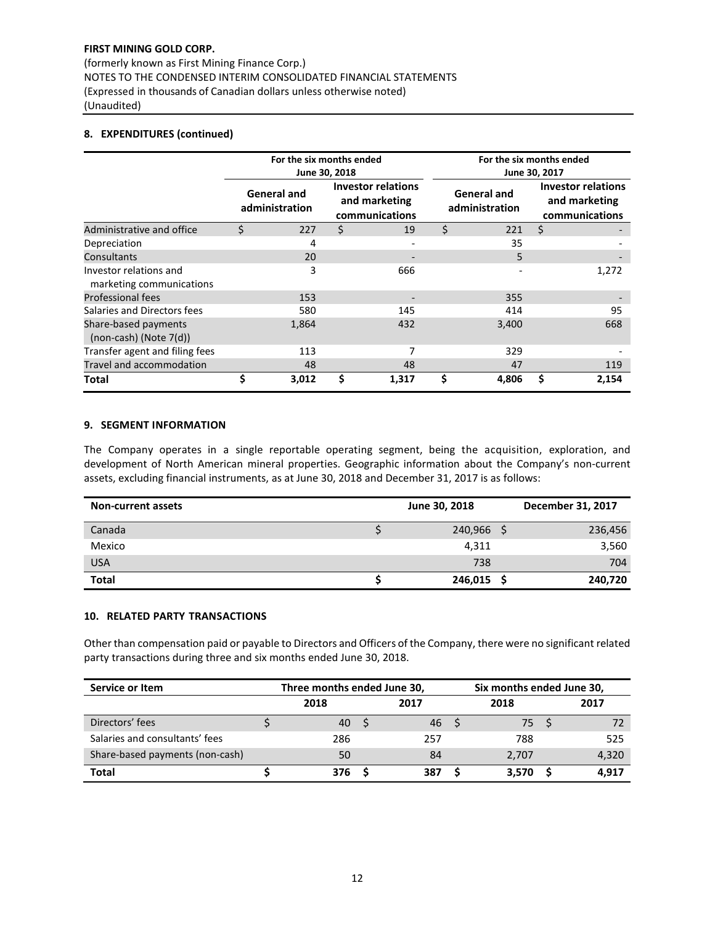(formerly known as First Mining Finance Corp.) NOTES TO THE CONDENSED INTERIM CONSOLIDATED FINANCIAL STATEMENTS (Expressed in thousands of Canadian dollars unless otherwise noted) (Unaudited)

## **8. EXPENDITURES (continued)**

|                                                     |    | For the six months ended             | June 30, 2018 |                                                              |   | For the six months ended<br>June 30, 2017 |                                                              |       |  |  |  |
|-----------------------------------------------------|----|--------------------------------------|---------------|--------------------------------------------------------------|---|-------------------------------------------|--------------------------------------------------------------|-------|--|--|--|
|                                                     |    | <b>General and</b><br>administration |               | <b>Investor relations</b><br>and marketing<br>communications |   | <b>General and</b><br>administration      | <b>Investor relations</b><br>and marketing<br>communications |       |  |  |  |
| Administrative and office                           | Ś. | 227                                  | Ś             | 19                                                           | Ś | 221                                       | \$                                                           |       |  |  |  |
| Depreciation                                        |    | 4                                    |               |                                                              |   | 35                                        |                                                              |       |  |  |  |
| Consultants                                         |    | 20                                   |               |                                                              |   | 5                                         |                                                              |       |  |  |  |
| Investor relations and<br>marketing communications  |    | 3                                    |               | 666                                                          |   |                                           |                                                              | 1,272 |  |  |  |
| <b>Professional fees</b>                            |    | 153                                  |               |                                                              |   | 355                                       |                                                              |       |  |  |  |
| Salaries and Directors fees                         |    | 580                                  |               | 145                                                          |   | 414                                       |                                                              | 95    |  |  |  |
| Share-based payments<br>$(non-cash)$ (Note $7(d)$ ) |    | 1,864                                |               | 432                                                          |   | 3,400                                     |                                                              | 668   |  |  |  |
| Transfer agent and filing fees                      |    | 113                                  |               | 7                                                            |   | 329                                       |                                                              |       |  |  |  |
| Travel and accommodation                            |    | 48                                   |               | 48                                                           |   | 47                                        |                                                              | 119   |  |  |  |
| Total                                               | \$ | 3,012                                |               | 1,317                                                        |   | 4,806                                     | \$                                                           | 2,154 |  |  |  |

## **9. SEGMENT INFORMATION**

The Company operates in a single reportable operating segment, being the acquisition, exploration, and development of North American mineral properties. Geographic information about the Company's non-current assets, excluding financial instruments, as at June 30, 2018 and December 31, 2017 is as follows:

| <b>Non-current assets</b> | June 30, 2018 | December 31, 2017 |
|---------------------------|---------------|-------------------|
| Canada                    | 240,966       | 236,456           |
| Mexico                    | 4,311         | 3,560             |
| <b>USA</b>                | 738           | 704               |
| <b>Total</b>              | 246,015       | 240,720           |

## **10. RELATED PARTY TRANSACTIONS**

Other than compensation paid or payable to Directors and Officers of the Company, there were no significant related party transactions during three and six months ended June 30, 2018.

| Service or Item                 | Three months ended June 30, |      |  | Six months ended June 30, |  |       |  |       |  |
|---------------------------------|-----------------------------|------|--|---------------------------|--|-------|--|-------|--|
|                                 |                             | 2018 |  | 2017                      |  | 2018  |  | 2017  |  |
| Directors' fees                 |                             | 40   |  | 46                        |  | 75    |  |       |  |
| Salaries and consultants' fees  |                             | 286  |  | 257                       |  | 788   |  | 525   |  |
| Share-based payments (non-cash) |                             | 50   |  | 84                        |  | 2.707 |  | 4,320 |  |
| <b>Total</b>                    |                             | 376  |  | 387                       |  | 3.570 |  | 4.917 |  |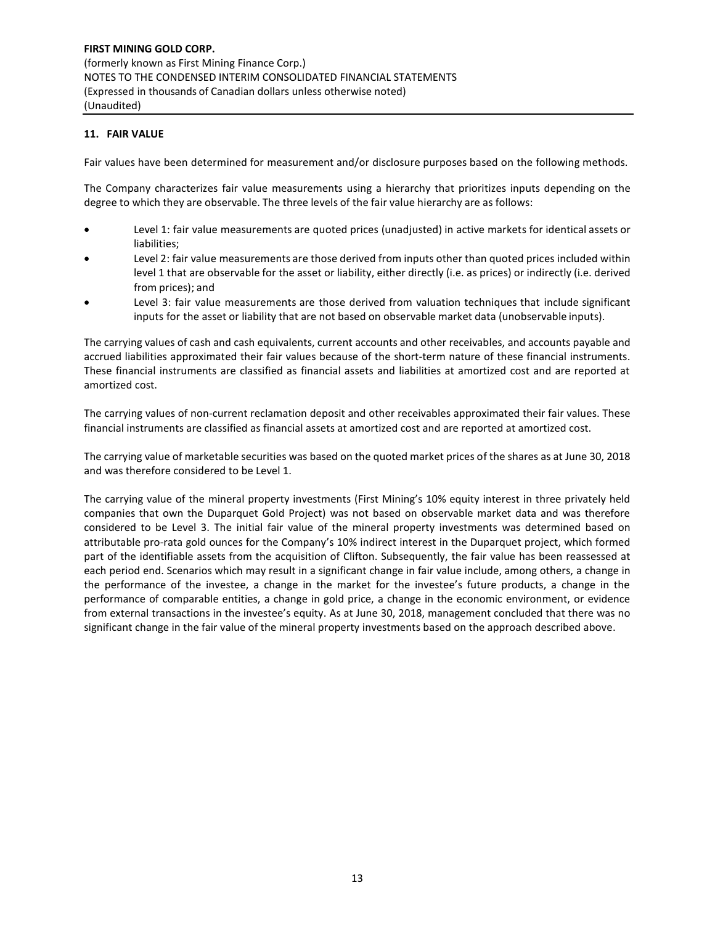## **11. FAIR VALUE**

Fair values have been determined for measurement and/or disclosure purposes based on the following methods.

The Company characterizes fair value measurements using a hierarchy that prioritizes inputs depending on the degree to which they are observable. The three levels of the fair value hierarchy are as follows:

- Level 1: fair value measurements are quoted prices (unadjusted) in active markets for identical assets or liabilities;
- Level 2: fair value measurements are those derived from inputs other than quoted prices included within level 1 that are observable for the asset or liability, either directly (i.e. as prices) or indirectly (i.e. derived from prices); and
- Level 3: fair value measurements are those derived from valuation techniques that include significant inputs for the asset or liability that are not based on observable market data (unobservable inputs).

The carrying values of cash and cash equivalents, current accounts and other receivables, and accounts payable and accrued liabilities approximated their fair values because of the short-term nature of these financial instruments. These financial instruments are classified as financial assets and liabilities at amortized cost and are reported at amortized cost.

The carrying values of non-current reclamation deposit and other receivables approximated their fair values. These financial instruments are classified as financial assets at amortized cost and are reported at amortized cost.

The carrying value of marketable securities was based on the quoted market prices of the shares as at June 30, 2018 and was therefore considered to be Level 1.

The carrying value of the mineral property investments (First Mining's 10% equity interest in three privately held companies that own the Duparquet Gold Project) was not based on observable market data and was therefore considered to be Level 3. The initial fair value of the mineral property investments was determined based on attributable pro-rata gold ounces for the Company's 10% indirect interest in the Duparquet project, which formed part of the identifiable assets from the acquisition of Clifton. Subsequently, the fair value has been reassessed at each period end. Scenarios which may result in a significant change in fair value include, among others, a change in the performance of the investee, a change in the market for the investee's future products, a change in the performance of comparable entities, a change in gold price, a change in the economic environment, or evidence from external transactions in the investee's equity. As at June 30, 2018, management concluded that there was no significant change in the fair value of the mineral property investments based on the approach described above.